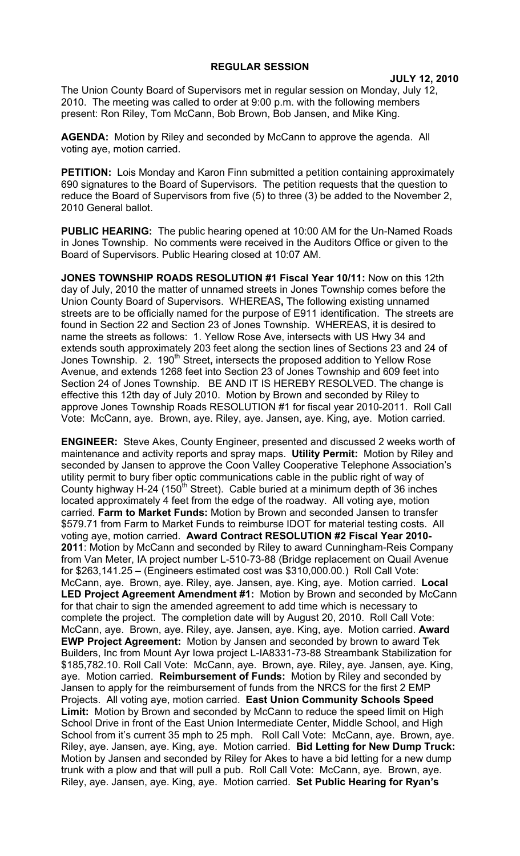## **REGULAR SESSION**

**JULY 12, 2010**

The Union County Board of Supervisors met in regular session on Monday, July 12, 2010. The meeting was called to order at 9:00 p.m. with the following members present: Ron Riley, Tom McCann, Bob Brown, Bob Jansen, and Mike King.

**AGENDA:** Motion by Riley and seconded by McCann to approve the agenda. All voting aye, motion carried.

**PETITION:** Lois Monday and Karon Finn submitted a petition containing approximately 690 signatures to the Board of Supervisors. The petition requests that the question to reduce the Board of Supervisors from five (5) to three (3) be added to the November 2, 2010 General ballot.

**PUBLIC HEARING:** The public hearing opened at 10:00 AM for the Un-Named Roads in Jones Township. No comments were received in the Auditors Office or given to the Board of Supervisors. Public Hearing closed at 10:07 AM.

**JONES TOWNSHIP ROADS RESOLUTION #1 Fiscal Year 10/11:** Now on this 12th day of July, 2010 the matter of unnamed streets in Jones Township comes before the Union County Board of Supervisors. WHEREAS**,** The following existing unnamed streets are to be officially named for the purpose of E911 identification. The streets are found in Section 22 and Section 23 of Jones Township. WHEREAS, it is desired to name the streets as follows: 1. Yellow Rose Ave, intersects with US Hwy 34 and extends south approximately 203 feet along the section lines of Sections 23 and 24 of Jones Township. 2. 190<sup>th</sup> Street, intersects the proposed addition to Yellow Rose Avenue, and extends 1268 feet into Section 23 of Jones Township and 609 feet into Section 24 of Jones Township. BE AND IT IS HEREBY RESOLVED. The change is effective this 12th day of July 2010. Motion by Brown and seconded by Riley to approve Jones Township Roads RESOLUTION #1 for fiscal year 2010-2011. Roll Call Vote: McCann, aye. Brown, aye. Riley, aye. Jansen, aye. King, aye. Motion carried.

**ENGINEER:** Steve Akes, County Engineer, presented and discussed 2 weeks worth of maintenance and activity reports and spray maps. **Utility Permit:** Motion by Riley and seconded by Jansen to approve the Coon Valley Cooperative Telephone Association's utility permit to bury fiber optic communications cable in the public right of way of County highway H-24 (150<sup>th</sup> Street). Cable buried at a minimum depth of 36 inches located approximately 4 feet from the edge of the roadway. All voting aye, motion carried. **Farm to Market Funds:** Motion by Brown and seconded Jansen to transfer \$579.71 from Farm to Market Funds to reimburse IDOT for material testing costs. All voting aye, motion carried. **Award Contract RESOLUTION #2 Fiscal Year 2010- 2011**: Motion by McCann and seconded by Riley to award Cunningham-Reis Company from Van Meter, IA project number L-510-73-88 (Bridge replacement on Quail Avenue for \$263,141.25 – (Engineers estimated cost was \$310,000.00.) Roll Call Vote: McCann, aye. Brown, aye. Riley, aye. Jansen, aye. King, aye. Motion carried. **Local LED Project Agreement Amendment #1:** Motion by Brown and seconded by McCann for that chair to sign the amended agreement to add time which is necessary to complete the project. The completion date will by August 20, 2010. Roll Call Vote: McCann, aye. Brown, aye. Riley, aye. Jansen, aye. King, aye. Motion carried. **Award EWP Project Agreement:** Motion by Jansen and seconded by brown to award Tek Builders, Inc from Mount Ayr Iowa project L-IA8331-73-88 Streambank Stabilization for \$185,782.10. Roll Call Vote: McCann, aye. Brown, aye. Riley, aye. Jansen, aye. King, aye. Motion carried. **Reimbursement of Funds:** Motion by Riley and seconded by Jansen to apply for the reimbursement of funds from the NRCS for the first 2 EMP Projects. All voting aye, motion carried. **East Union Community Schools Speed Limit:** Motion by Brown and seconded by McCann to reduce the speed limit on High School Drive in front of the East Union Intermediate Center, Middle School, and High School from it's current 35 mph to 25 mph. Roll Call Vote: McCann, aye. Brown, aye. Riley, aye. Jansen, aye. King, aye. Motion carried. **Bid Letting for New Dump Truck:**  Motion by Jansen and seconded by Riley for Akes to have a bid letting for a new dump trunk with a plow and that will pull a pub. Roll Call Vote: McCann, aye. Brown, aye. Riley, aye. Jansen, aye. King, aye. Motion carried. **Set Public Hearing for Ryan's**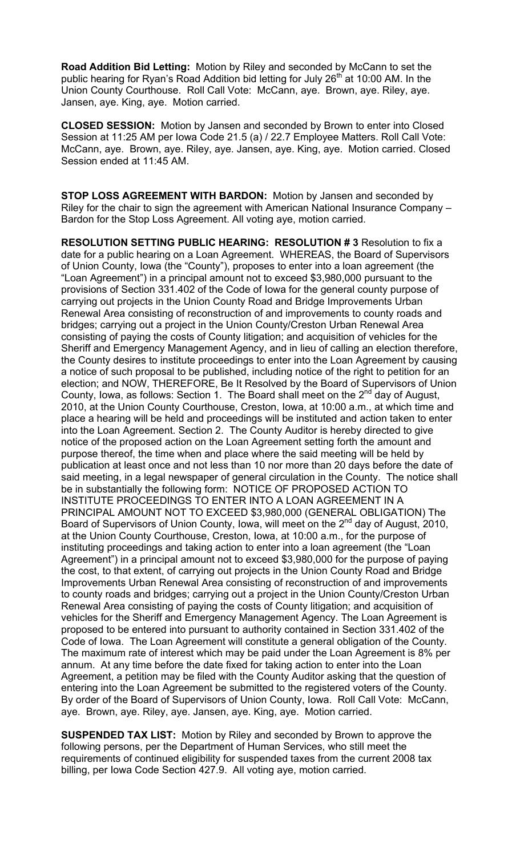**Road Addition Bid Letting:** Motion by Riley and seconded by McCann to set the public hearing for Ryan's Road Addition bid letting for July 26<sup>th</sup> at 10:00 AM. In the Union County Courthouse. Roll Call Vote: McCann, aye. Brown, aye. Riley, aye. Jansen, aye. King, aye. Motion carried.

**CLOSED SESSION:** Motion by Jansen and seconded by Brown to enter into Closed Session at 11:25 AM per Iowa Code 21.5 (a) / 22.7 Employee Matters. Roll Call Vote: McCann, aye. Brown, aye. Riley, aye. Jansen, aye. King, aye. Motion carried. Closed Session ended at 11:45 AM.

**STOP LOSS AGREEMENT WITH BARDON:** Motion by Jansen and seconded by Riley for the chair to sign the agreement with American National Insurance Company – Bardon for the Stop Loss Agreement. All voting aye, motion carried.

**RESOLUTION SETTING PUBLIC HEARING: RESOLUTION # 3** Resolution to fix a date for a public hearing on a Loan Agreement. WHEREAS, the Board of Supervisors of Union County, Iowa (the "County"), proposes to enter into a loan agreement (the "Loan Agreement") in a principal amount not to exceed \$3,980,000 pursuant to the provisions of Section 331.402 of the Code of Iowa for the general county purpose of carrying out projects in the Union County Road and Bridge Improvements Urban Renewal Area consisting of reconstruction of and improvements to county roads and bridges; carrying out a project in the Union County/Creston Urban Renewal Area consisting of paying the costs of County litigation; and acquisition of vehicles for the Sheriff and Emergency Management Agency, and in lieu of calling an election therefore, the County desires to institute proceedings to enter into the Loan Agreement by causing a notice of such proposal to be published, including notice of the right to petition for an election; and NOW, THEREFORE, Be It Resolved by the Board of Supervisors of Union County, Iowa, as follows: Section 1. The Board shall meet on the  $2^{nd}$  day of August, 2010, at the Union County Courthouse, Creston, Iowa, at 10:00 a.m., at which time and place a hearing will be held and proceedings will be instituted and action taken to enter into the Loan Agreement. Section 2. The County Auditor is hereby directed to give notice of the proposed action on the Loan Agreement setting forth the amount and purpose thereof, the time when and place where the said meeting will be held by publication at least once and not less than 10 nor more than 20 days before the date of said meeting, in a legal newspaper of general circulation in the County. The notice shall be in substantially the following form: NOTICE OF PROPOSED ACTION TO INSTITUTE PROCEEDINGS TO ENTER INTO A LOAN AGREEMENT IN A PRINCIPAL AMOUNT NOT TO EXCEED \$3,980,000 (GENERAL OBLIGATION) The Board of Supervisors of Union County, Iowa, will meet on the 2<sup>nd</sup> day of August, 2010, at the Union County Courthouse, Creston, Iowa, at 10:00 a.m., for the purpose of instituting proceedings and taking action to enter into a loan agreement (the "Loan Agreement") in a principal amount not to exceed \$3,980,000 for the purpose of paying the cost, to that extent, of carrying out projects in the Union County Road and Bridge Improvements Urban Renewal Area consisting of reconstruction of and improvements to county roads and bridges; carrying out a project in the Union County/Creston Urban Renewal Area consisting of paying the costs of County litigation; and acquisition of vehicles for the Sheriff and Emergency Management Agency. The Loan Agreement is proposed to be entered into pursuant to authority contained in Section 331.402 of the Code of Iowa. The Loan Agreement will constitute a general obligation of the County. The maximum rate of interest which may be paid under the Loan Agreement is 8% per annum. At any time before the date fixed for taking action to enter into the Loan Agreement, a petition may be filed with the County Auditor asking that the question of entering into the Loan Agreement be submitted to the registered voters of the County. By order of the Board of Supervisors of Union County, Iowa. Roll Call Vote: McCann, aye. Brown, aye. Riley, aye. Jansen, aye. King, aye. Motion carried.

**SUSPENDED TAX LIST:** Motion by Riley and seconded by Brown to approve the following persons, per the Department of Human Services, who still meet the requirements of continued eligibility for suspended taxes from the current 2008 tax billing, per Iowa Code Section 427.9. All voting aye, motion carried.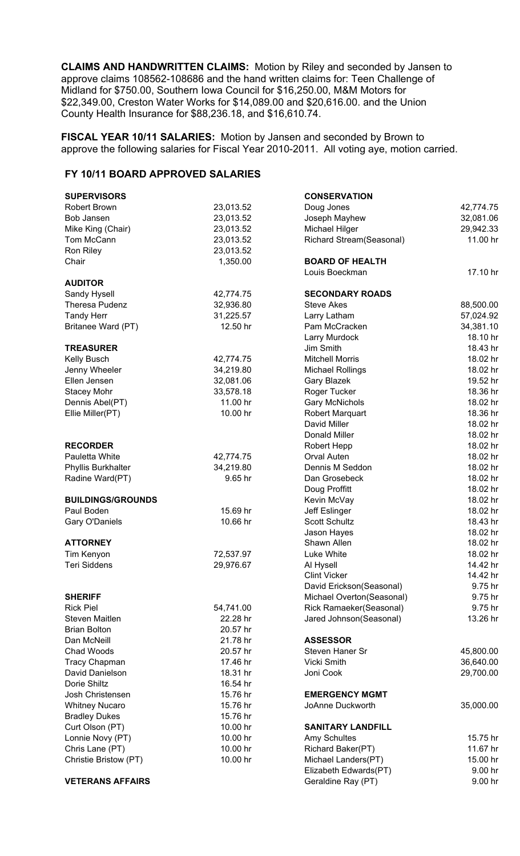**CLAIMS AND HANDWRITTEN CLAIMS:** Motion by Riley and seconded by Jansen to approve claims 108562-108686 and the hand written claims for: Teen Challenge of Midland for \$750.00, Southern Iowa Council for \$16,250.00, M&M Motors for \$22,349.00, Creston Water Works for \$14,089.00 and \$20,616.00. and the Union County Health Insurance for \$88,236.18, and \$16,610.74.

**FISCAL YEAR 10/11 SALARIES:** Motion by Jansen and seconded by Brown to approve the following salaries for Fiscal Year 2010-2011. All voting aye, motion carried.

## **FY 10/11 BOARD APPROVED SALARIES**

| <b>SUPERVISORS</b>                        |                       | <b>CONSERVATION</b>       |                     |
|-------------------------------------------|-----------------------|---------------------------|---------------------|
| <b>Robert Brown</b>                       | 23,013.52             | Doug Jones                | 42,774.75           |
| Bob Jansen                                | 23,013.52             | Joseph Mayhew             | 32,081.06           |
| Mike King (Chair)                         | 23,013.52             | Michael Hilger            | 29,942.33           |
| Tom McCann                                | 23,013.52             | Richard Stream(Seasonal)  | 11.00 hr            |
| Ron Riley                                 | 23,013.52             |                           |                     |
| Chair                                     | 1,350.00              | <b>BOARD OF HEALTH</b>    |                     |
|                                           |                       | Louis Boeckman            | 17.10 hr            |
| <b>AUDITOR</b>                            |                       |                           |                     |
| Sandy Hysell                              | 42,774.75             | <b>SECONDARY ROADS</b>    |                     |
| <b>Theresa Pudenz</b>                     | 32,936.80             | <b>Steve Akes</b>         | 88,500.00           |
| <b>Tandy Herr</b>                         | 31,225.57             | Larry Latham              | 57,024.92           |
| Britanee Ward (PT)                        | 12.50 hr              | Pam McCracken             | 34,381.10           |
|                                           |                       | Larry Murdock             | 18.10 hr            |
| <b>TREASURER</b>                          |                       | Jim Smith                 | 18.43 hr            |
| Kelly Busch                               | 42,774.75             | <b>Mitchell Morris</b>    | 18.02 hr            |
| Jenny Wheeler                             | 34,219.80             | <b>Michael Rollings</b>   | 18.02 hr            |
| Ellen Jensen                              | 32,081.06             | Gary Blazek               | 19.52 hr            |
| <b>Stacey Mohr</b>                        | 33,578.18             | Roger Tucker              | 18.36 hr            |
| Dennis Abel(PT)                           | 11.00 hr              | <b>Gary McNichols</b>     | 18.02 hr            |
| Ellie Miller(PT)                          | 10.00 hr              | Robert Marquart           | 18.36 hr            |
|                                           |                       | David Miller              | 18.02 hr            |
|                                           |                       | Donald Miller             | 18.02 hr            |
| <b>RECORDER</b>                           |                       | Robert Hepp               | 18.02 hr            |
| Pauletta White                            | 42,774.75             | Orval Auten               | 18.02 hr            |
| Phyllis Burkhalter                        | 34,219.80             | Dennis M Seddon           | 18.02 hr            |
| Radine Ward(PT)                           | 9.65 hr               | Dan Grosebeck             | 18.02 hr            |
|                                           |                       | Doug Proffitt             | 18.02 hr            |
| <b>BUILDINGS/GROUNDS</b>                  |                       | Kevin McVay               | 18.02 hr            |
| Paul Boden                                | 15.69 hr              | Jeff Eslinger             | 18.02 hr            |
| Gary O'Daniels                            | 10.66 hr              | <b>Scott Schultz</b>      | 18.43 hr            |
|                                           |                       | Jason Hayes               | 18.02 hr            |
| <b>ATTORNEY</b>                           |                       | Shawn Allen               | 18.02 hr            |
| Tim Kenyon                                | 72,537.97             | Luke White                | 18.02 hr            |
| <b>Teri Siddens</b>                       | 29,976.67             | Al Hysell                 | 14.42 hr            |
|                                           |                       | <b>Clint Vicker</b>       | 14.42 hr            |
|                                           |                       | David Erickson(Seasonal)  | 9.75 hr             |
| <b>SHERIFF</b>                            |                       | Michael Overton(Seasonal) | 9.75 hr             |
| <b>Rick Piel</b><br><b>Steven Maitlen</b> | 54,741.00<br>22.28 hr | Rick Ramaeker(Seasonal)   | 9.75 hr<br>13.26 hr |
| <b>Brian Bolton</b>                       | 20.57 hr              | Jared Johnson(Seasonal)   |                     |
| Dan McNeill                               | 21.78 hr              | <b>ASSESSOR</b>           |                     |
| Chad Woods                                | 20.57 hr              | Steven Haner Sr           | 45,800.00           |
| <b>Tracy Chapman</b>                      | 17.46 hr              | Vicki Smith               | 36,640.00           |
| David Danielson                           | 18.31 hr              | Joni Cook                 | 29,700.00           |
| Dorie Shiltz                              | 16.54 hr              |                           |                     |
| Josh Christensen                          | 15.76 hr              | <b>EMERGENCY MGMT</b>     |                     |
| <b>Whitney Nucaro</b>                     | 15.76 hr              | JoAnne Duckworth          | 35,000.00           |
| <b>Bradley Dukes</b>                      | 15.76 hr              |                           |                     |
| Curt Olson (PT)                           | 10.00 hr              | <b>SANITARY LANDFILL</b>  |                     |
| Lonnie Novy (PT)                          | 10.00 hr              | Amy Schultes              | 15.75 hr            |
| Chris Lane (PT)                           | 10.00 hr              | Richard Baker(PT)         | 11.67 hr            |
| Christie Bristow (PT)                     | 10.00 hr              | Michael Landers(PT)       | 15.00 hr            |
|                                           |                       | Elizabeth Edwards(PT)     | 9.00 hr             |
| <b>VETERANS AFFAIRS</b>                   |                       | Geraldine Ray (PT)        | 9.00 hr             |